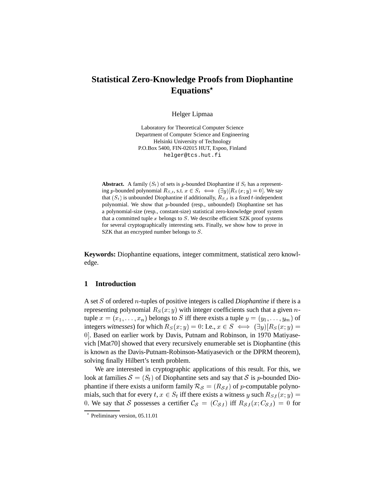# **Statistical Zero-Knowledge Proofs from Diophantine Equations**?

Helger Lipmaa

Laboratory for Theoretical Computer Science Department of Computer Science and Engineering Helsinki University of Technology P.O.Box 5400, FIN-02015 HUT, Espoo, Finland helger@tcs.hut.fi

**Abstract.** A family  $(S_t)$  of sets is p-bounded Diophantine if  $S_t$  has a representing p-bounded polynomial  $R_{S,t}$ , s.t.  $x \in S_t \iff (\exists y)[R_S(x; y) = 0]$ . We say that  $(S_t)$  is unbounded Diophantine if additionally,  $R_{S,t}$  is a fixed t-independent polynomial. We show that  $p$ -bounded (resp., unbounded) Diophantine set has a polynomial-size (resp., constant-size) statistical zero-knowledge proof system that a committed tuple  $x$  belongs to  $S$ . We describe efficient SZK proof systems for several cryptographically interesting sets. Finally, we show how to prove in SZK that an encrypted number belongs to S.

**Keywords:** Diophantine equations, integer commitment, statistical zero knowledge.

# **1 Introduction**

A set <sup>S</sup> of ordered <sup>n</sup>-tuples of positive integers is called *Diophantine* if there is a representing polynomial  $R_S(x; y)$  with integer coefficients such that a given ntuple  $x = (x_1, \ldots, x_n)$  belongs to S iff there exists a tuple  $y = (y_1, \ldots, y_m)$  of integers *witnesses*) for which  $R_S(x; y) = 0$ : I.e.,  $x \in S \iff (\exists y)[R_S(x; y)]$ 0. Based on earlier work by Davis, Putnam and Robinson, in 1970 Matiyasevich [Mat70] showed that every recursively enumerable set is Diophantine (this is known as the Davis-Putnam-Robinson-Matiyasevich or the DPRM theorem), solving finally Hilbert's tenth problem.

We are interested in cryptographic applications of this result. For this, we look at families  $S = (S_t)$  of Diophantine sets and say that S is p-bounded Diophantine if there exists a uniform family  $\mathcal{R}_{\mathcal{S}} = (R_{\mathcal{S},t})$  of p-computable polynomials, such that for every  $t, x \in S_t$  iff there exists a witness y such  $R_{S,t}(x; y) =$ 0. We say that S possesses a certifier  $\mathcal{C}_{\mathcal{S}} = (C_{\mathcal{S},t})$  iff  $R_{\mathcal{S},t}(x; C_{\mathcal{S},t}) = 0$  for

<sup>?</sup> Preliminary version, 05.11.01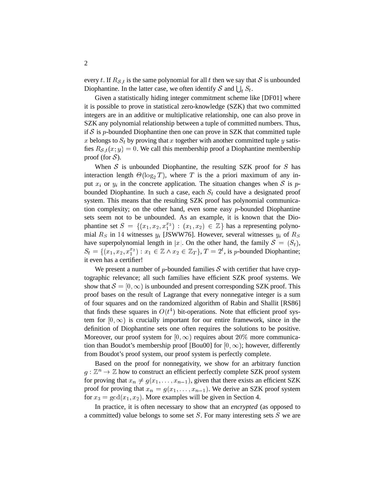every t. If  $R_{\mathcal{S},t}$  is the same polynomial for all t then we say that S is unbounded Diophantine. In the latter case, we often identify S and  $\bigcup_t S_t$ .

Given a statistically hiding integer commitment scheme like [DF01] where it is possible to prove in statistical zero-knowledge (SZK) that two committed integers are in an additive or multiplicative relationship, one can also prove in SZK any polynomial relationship between a tuple of committed numbers. Thus, if S is p-bounded Diophantine then one can prove in SZK that committed tuple x belongs to  $S_t$  by proving that x together with another committed tuple y satisfies  $R_{\mathcal{S},t}(x; y) = 0$ . We call this membership proof a Diophantine membership proof (for  $S$ ).

When  $S$  is unbounded Diophantine, the resulting SZK proof for  $S$  has interaction length  $\Theta(\log_2 T)$ , where T is the a priori maximum of any input  $x_i$  or  $y_i$  in the concrete application. The situation changes when S is pbounded Diophantine. In such a case, each  $S_t$  could have a designated proof system. This means that the resulting SZK proof has polynomial communication complexity; on the other hand, even some easy  $p$ -bounded Diophantine sets seem not to be unbounded. As an example, it is known that the Diophantine set  $S = \{(x_1, x_2, x_1^{x_2}) : (x_1, x_2) \in \mathbb{Z}\}\$  has a representing polynomial  $R<sub>S</sub>$  in 14 witnesses  $y<sub>i</sub>$  [JSWW76]. However, several witnesses  $y<sub>i</sub>$  of  $R<sub>S</sub>$ have superpolynomial length in |x|. On the other hand, the family  $S = (S_t)$ ,  $S_t = \{ (x_1, x_2, x_1^{x_2}) : x_1 \in \mathbb{Z} \land x_2 \in \mathbb{Z}_T \}, T = 2^t$ , is p-bounded Diophantine; it even has a certifier!

We present a number of p-bounded families  $S$  with certifier that have cryptographic relevance; all such families have efficient SZK proof systems. We show that  $S = [0,\infty)$  is unbounded and present corresponding SZK proof. This proof bases on the result of Lagrange that every nonnegative integer is a sum of four squares and on the randomized algorithm of Rabin and Shallit [RS86] that finds these squares in  $O(t^4)$  bit-operations. Note that efficient proof system for  $[0,\infty)$  is crucially important for our entire framework, since in the definition of Diophantine sets one often requires the solutions to be positive. Moreover, our proof system for  $[0,\infty)$  requires about 20% more communication than Boudot's membership proof [Bou00] for  $[0,\infty)$ ; however, differently from Boudot's proof system, our proof system is perfectly complete.

Based on the proof for nonnegativity, we show for an arbitrary function  $g: \mathbb{Z}^n \to \mathbb{Z}$  how to construct an efficient perfectly complete SZK proof system for proving that  $x_n \neq g(x_1, \ldots, x_{n-1})$ , given that there exists an efficient SZK proof for proving that  $x_n = g(x_1, \ldots, x_{n-1})$ . We derive an SZK proof system for  $x_3 = \gcd(x_1, x_2)$ . More examples will be given in Section 4.

In practice, it is often necessary to show that an *encrypted* (as opposed to a committed) value belongs to some set <sup>S</sup>. For many interesting sets <sup>S</sup> we are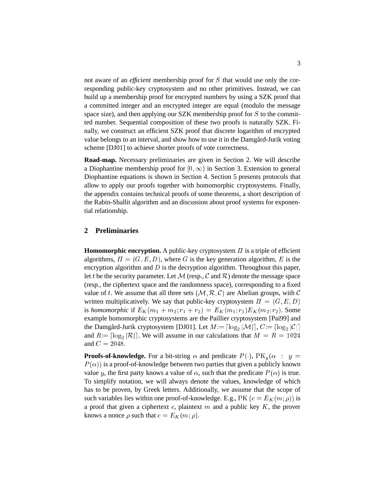not aware of an *efficient* membership proof for <sup>S</sup> that would use only the corresponding public-key cryptosystem and no other primitives. Instead, we can build up a membership proof for encrypted numbers by using a SZK proof that a committed integer and an encrypted integer are equal (modulo the message space size), and then applying our SZK membership proof for S to the committed number. Sequential composition of these two proofs is naturally SZK. Finally, we construct an efficient SZK proof that discrete logarithm of encrypted value belongs to an interval, and show how to use it in the Damgård-Jurik voting scheme [DJ01] to achieve shorter proofs of vote correctness.

**Road-map.** Necessary preliminaries are given in Section 2. We will describe a Diophantine membership proof for  $[0,\infty)$  in Section 3. Extension to general Diophantine equations is shown in Section 4. Section 5 presents protocols that allow to apply our proofs together with homomorphic cryptosystems. Finally, the appendix contains technical proofs of some theorems, a short description of the Rabin-Shallit algorithm and an discussion about proof systems for exponential relationship.

# **2 Preliminaries**

**Homomorphic encryption.** A public-key cryptosystem  $\Pi$  is a triple of efficient algorithms,  $\Pi = (G, E, D)$ , where G is the key generation algorithm, E is the encryption algorithm and  $D$  is the decryption algorithm. Throughout this paper, let t be the security parameter. Let  $\mathcal M$  (resp., C and  $\mathcal R$ ) denote the message space (resp., the ciphertext space and the randomness space), corresponding to a fixed value of t. We assume that all three sets  $(M, \mathcal{R}, \mathcal{C})$  are Abelian groups, with  $\mathcal{C}$ written multiplicatively. We say that public-key cryptosystem  $\Pi = (G, E, D)$ is *homomorphic* if  $E_K(m_1 + m_2; r_1 + r_2) = E_K(m_1; r_1)E_K(m_2; r_2)$ . Some example homomorphic cryptosystems are the Paillier cryptosystem [Pai99] and the Damgård-Jurik cryptosystem [DJ01]. Let  $M := \lceil \log_2 |\mathcal{M}| \rceil$ ,  $C := \lceil \log_2 |\mathcal{C}| \rceil$ and  $R = \lceil \log_2 |\mathcal{R}| \rceil$ . We will assume in our calculations that  $M = R = 1024$ and  $C = 2048$ .

**Proofs-of-knowledge.** For a bit-string  $\alpha$  and predicate  $P(\cdot)$ ,  $PK_y(\alpha : y =$  $P(\alpha)$ ) is a proof-of-knowledge between two parties that given a publicly known value y, the first party knows a value of  $\alpha$ , such that the predicate  $P(\alpha)$  is true. To simplify notation, we will always denote the values, knowledge of which has to be proven, by Greek letters. Additionally, we assume that the scope of such variables lies within one proof-of-knowledge. E.g., PK ( $c = E_K(m; \rho)$ ) is a proof that given a ciphertext  $c$ , plaintext  $m$  and a public key  $K$ , the prover knows a nonce  $\rho$  such that  $c = E_K(m; \rho)$ .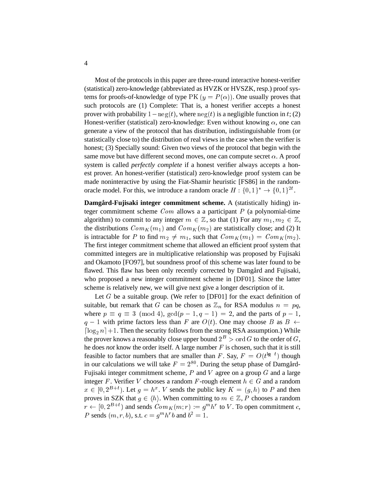Most of the protocols in this paper are three-round interactive honest-verifier (statistical) zero-knowledge (abbreviated as HVZK or HVSZK, resp.) proof systems for proofs-of-knowledge of type PK  $(y = P(\alpha))$ . One usually proves that such protocols are (1) Complete: That is, a honest verifier accepts a honest prover with probability  $1-\text{neg}(t)$ , where  $\text{neg}(t)$  is a negligible function in t; (2) Honest-verifier (statistical) zero-knowledge: Even without knowing  $\alpha$ , one can generate a view of the protocol that has distribution, indistinguishable from (or statistically close to) the distribution of real views in the case when the verifier is honest; (3) Specially sound: Given two views of the protocol that begin with the same move but have different second moves, one can compute secret  $\alpha$ . A proof system is called *perfectly complete* if a honest verifier always accepts a honest prover. An honest-verifier (statistical) zero-knowledge proof system can be made noninteractive by using the Fiat-Shamir heuristic [FS86] in the randomoracle model. For this, we introduce a random oracle  $H: \{0, 1\}^* \to \{0, 1\}^{2t}$ .

**Damgård-Fujisaki integer commitment scheme.** A (statistically hiding) integer commitment scheme  $Com$  allows a a participant  $P$  (a polynomial-time algorithm) to commit to any integer  $m \in \mathbb{Z}$ , so that (1) For any  $m_1, m_2 \in \mathbb{Z}$ , the distributions  $Com_K(m_1)$  and  $Com_K(m_2)$  are statistically close; and (2) It is intractable for P to find  $m_2 \neq m_1$ , such that  $Com_K(m_1) = Com_K(m_2)$ . The first integer commitment scheme that allowed an efficient proof system that committed integers are in multiplicative relationship was proposed by Fujisaki and Okamoto [FO97], but soundness proof of this scheme was later found to be flawed. This flaw has been only recently corrected by Damgård and Fujisaki, who proposed a new integer commitment scheme in [DF01]. Since the latter scheme is relatively new, we will give next give a longer description of it.

Let  $G$  be a suitable group. (We refer to [DF01] for the exact definition of suitable, but remark that G can be chosen as  $\mathbb{Z}_n$  for RSA modulus  $n = pq$ , where  $p \equiv q \equiv 3 \pmod{4}$ ,  $\gcd(p-1, q-1) = 2$ , and the parts of  $p-1$ ,  $q - 1$  with prime factors less than F are  $O(t)$ . One may choose B as  $B \leftarrow$  $\lceil \log_2 n \rceil + 1$ . Then the security follows from the strong RSA assumption.) While the prover knows a reasonably close upper bound  $2^B > \text{ord } G$  to the order of G, he does *not* know the order itself. A large number <sup>F</sup> is chosen, such that it is still feasible to factor numbers that are smaller than F. Say,  $F = O(t^{\log t})$  though in our calculations we will take  $F = 2^{80}$ . During the setup phase of Damgård-Fujisaki integer commitment scheme,  $P$  and  $V$  agree on a group  $G$  and a large integer F. Verifier V chooses a random F-rough element  $h \in G$  and a random  $x \in [0, 2^{B+t})$ . Let  $g = h^x$ . V sends the public key  $K = (g, h)$  to P and then proves in SZK that  $q \in \langle h \rangle$ . When committing to  $m \in \mathbb{Z}$ , P chooses a random  $r \leftarrow [0, 2^{B+t})$  and sends  $Com_K(m; r) := g^m h^r$  to V. To open commitment c, P sends  $(m, r, b)$ , s.t.  $c = g^m h^r b$  and  $b^2 = 1$ .

4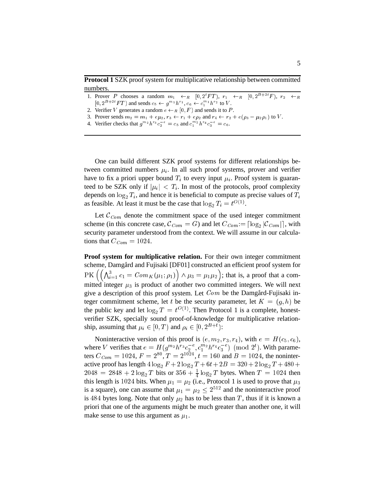**Protocol 1** SZK proof system for multiplicative relationship between committed numbers.

- 1. Prover P chooses a random  $m_1 \leftarrow_R [0, 2^t F T), r_1 \leftarrow_R [0, 2^{t+2t} F), r_2 \leftarrow_R$  $[0, 2^{B+2t} FT)$  and sends  $c_5 \leftarrow g^{m_1} h^{r_1}, c_6 \leftarrow c_1^{m_1} h^{r_2}$  to V.
- 2. Verifier V generates a random  $e \leftarrow_R [0, F)$  and sends it to P.
- 3. Prover sends  $m_2 = m_1 + e\mu_2$ ,  $r_3 \leftarrow r_1 + e\rho_2$  and  $r_4 \leftarrow r_2 + e(\rho_3 \mu_2 \rho_1)$  to V.
- 4. Verifier checks that  $g^{m_2} h^{r_3} c_2^{-e} = c_5$  and  $c_1^{m_2} h^{r_4} c_3^{-e} = c_6$ .

One can build different SZK proof systems for different relationships between committed numbers  $\mu_i$ . In all such proof systems, prover and verifier have to fix a priori upper bound  $T_i$  to every input  $\mu_i$ . Proof system is guaranteed to be SZK only if  $|\mu_i| < T_i$ . In most of the protocols, proof complexity depends on  $\log_2 T_i$ , and hence it is beneficial to compute as precise values of  $T_i$ as feasible. At least it must be the case that  $\log_2 T_i = t^{O(1)}$ .

Let  $\mathcal{C}_{Com}$  denote the commitment space of the used integer commitment scheme (in this concrete case,  $C_{Com} = G$ ) and let  $C_{Com} = \lceil \log_2 |C_{Com}| \rceil$ , with security parameter understood from the context. We will assume in our calculations that  $C_{Com} = 1024$ .

**Proof system for multiplicative relation.** For their own integer commitment scheme, Damgård and Fujisaki [DF01] constructed an efficient proof system for  $\mathrm{PK}\left(\left(\bigwedge_{i=1}^3 c_1 = Com_K(\mu_1; \rho_1)\right)\right)$  $\sim$  $\cdot$  3  $\cdot$  3  $\cdot$  12  $\cdot$  12  $\cdot$  12  $\cdot$  12  $\cdot$  12  $\cdot$  12  $\cdot$  12  $\cdot$  12  $\cdot$  12  $\cdot$  12  $\cdot$  12  $\cdot$  12  $\cdot$  12  $\cdot$  12  $\cdot$  12  $\cdot$  12  $\cdot$  12  $\cdot$  12  $\cdot$  12  $\cdot$  12  $\cdot$  12  $\cdot$  12  $\cdot$  12  $\cdot$  12  $\cdot$  12  $\cdot$  12 ; that is, a proof that a committed integer  $\mu_3$  is product of another two committed integers. We will next give a description of this proof system. Let  $Com$  be the Damgård-Fujisaki integer commitment scheme, let t be the security parameter, let  $K = (g, h)$  be the public key and let  $\log_2 T = t^{O(1)}$ . Then Protocol 1 is a complete, honestverifier SZK, specially sound proof-of-knowledge for multiplicative relationship, assuming that  $\mu_i \in [0, T)$  and  $\rho_i \in [0, 2^{B+t})$ :

Noninteractive version of this proof is  $(e, m_2, r_3, r_4)$ , with  $e = H(c_5, c_6)$ , where V verifies that  $e = H(g^{m_2}h^{r_3}c_2^{-e}, c_1^{m_2}h^{r_4}c_3^{-e}) \pmod{2^t}$ . With parameters  $C_{Com} = 1024$ ,  $F = 2^{80}$ ,  $T = 2^{1024}$ ,  $t = 160$  and  $B = 1024$ , the noninteractive proof has length  $4\log_2 F + 2\log_2 T + 6t + 2B = 320 + 2\log_2 T + 480 +$  $2048 = 2848 + 2 \log_2 T$  bits or  $356 + \frac{1}{4} \log_2 T$  bytes. When  $T = 1024$  then this length is 1024 bits. When  $\mu_1 = \mu_2$  (i.e., Protocol 1 is used to prove that  $\mu_3$ is a square), one can assume that  $\mu_1 = \mu_2 \leq 2^{512}$  and the noninteractive proof is 484 bytes long. Note that only  $\mu_2$  has to be less than T, thus if it is known a priori that one of the arguments might be much greater than another one, it will make sense to use this argument as  $\mu_1$ .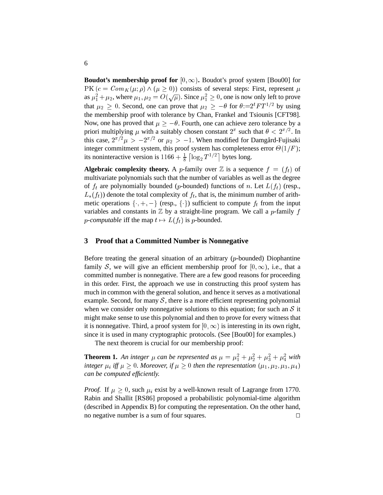**Boudot's membership proof for**  $[0,\infty)$ . Boudot's proof system [Bou00] for  $PK (c = Com<sub>K</sub>(\mu; \rho) \wedge (\mu \ge 0))$  consists of several steps: First, represent  $\mu$ as  $\mu_1^2 + \mu_2$ , where  $\mu_1, \mu_2 = O(\sqrt{\mu})$ . Since  $\mu_1^2 \ge 0$ , one is now only left to prove that  $\mu_2 \geq 0$ . Second, one can prove that  $\mu_2 \geq -\theta$  for  $\theta := 2^t FT^{1/2}$  by using the membership proof with tolerance by Chan, Frankel and Tsiounis [CFT98]. Now, one has proved that  $\mu \ge -\theta$ . Fourth, one can achieve zero tolerance by a priori multiplying  $\mu$  with a suitably chosen constant  $2^x$  such that  $\theta < 2^{x/2}$ . In this case,  $2^{x/2}\mu > -2^{x/2}$  or  $\mu_2 > -1$ . When modified for Damgård-Fujisaki integer commitment system, this proof system has completeness error  $\Theta(1/F)$ ; its noninteractive version is  $1166 + \frac{1}{8}$ - $\log_2 T^{1/2}$  bytes long.

**Algebraic complexity theory.** A *p*-family over  $\mathbb{Z}$  is a sequence  $f = (f_t)$  of multivariate polynomials such that the number of variables as well as the degree of  $f_t$  are polynomially bounded (p-bounded) functions of n. Let  $L(f_t)$  (resp.,  $L_*(f_t)$ ) denote the total complexity of  $f_t$ , that is, the minimum number of arithmetic operations  $\{\cdot, +, -\}$  (resp.,  $\{\cdot\}$ ) sufficient to compute  $f_t$  from the input variables and constants in  $\mathbb Z$  by a straight-line program. We call a p-family f *p*-computable iff the map  $t \mapsto L(f_t)$  is *p*-bounded.

#### **3 Proof that a Committed Number is Nonnegative**

Before treating the general situation of an arbitrary  $(p\text{-bounded})$  Diophantine family S, we will give an efficient membership proof for  $[0,\infty)$ , i.e., that a committed number is nonnegative. There are a few good reasons for proceeding in this order. First, the approach we use in constructing this proof system has much in common with the general solution, and hence it serves as a motivational example. Second, for many  $S$ , there is a more efficient representing polynomial when we consider only nonnegative solutions to this equation; for such an  $S$  it might make sense to use this polynomial and then to prove for every witness that it is nonnegative. Third, a proof system for  $[0,\infty)$  is interesting in its own right, since it is used in many cryptographic protocols. (See [Bou00] for examples.)

The next theorem is crucial for our membership proof:

**Theorem 1.** An integer  $\mu$  can be represented as  $\mu = \mu_1^2 + \mu_2^2 + \mu_3^2 + \mu_4^2$  with integer  $\mu_i$  iff  $\mu \geq 0$ . Moreover, if  $\mu \geq 0$  then the representation  $(\mu_1, \mu_2, \mu_3, \mu_4)$ *can be computed efficiently.*

*Proof.* If  $\mu > 0$ , such  $\mu_i$  exist by a well-known result of Lagrange from 1770. Rabin and Shallit [RS86] proposed a probabilistic polynomial-time algorithm (described in Appendix B) for computing the representation. On the other hand, no negative number is a sum of four squares.  $\Box$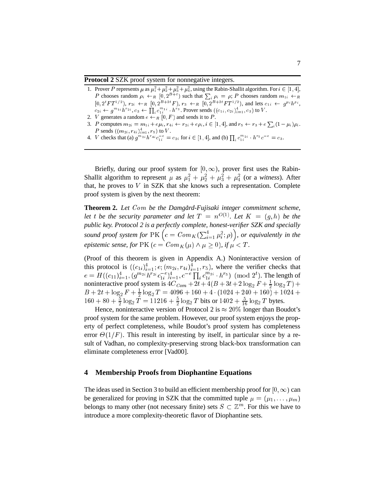**Protocol 2 SZK** proof system for nonnegative integers.

| 1. Prover P represents $\mu$ as $\mu_1^2 + \mu_2^2 + \mu_3^2 + \mu_4^2$ , using the Rabin-Shallit algorithm. For $i \in [1, 4]$ ,                         |
|-----------------------------------------------------------------------------------------------------------------------------------------------------------|
| P chooses random $\rho_i \leftarrow_R [0, 2^{B+t})$ such that $\sum_i \rho_i = \rho$ ; P chooses random $m_{1i} \leftarrow_R$                             |
| $[0, 2^t F T^{1/2}), r_{2i} \leftarrow_R [0, 2^{B+2t} F), r_3 \leftarrow_R [0, 2^{B+2t} F T^{1/2}),$ and lets $c_{1i} \leftarrow g^{\mu_i} h^{\rho_i}$ ,  |
| $c_{2i} \leftarrow g^{m_{1i}} h^{r_{2i}}, c_3 \leftarrow \prod_i c_{1i}^{m_{1i}} \cdot h^{r_3}$ . Prover sends $((c_{1i}, c_{2i})_{i=1}^4, c_3)$ to V.    |
| 2. <i>V</i> generates a random $e \leftarrow_R [0, F)$ and sends it to <i>P</i> .                                                                         |
| 3. P computes $m_{2i} = m_{1i} + e\mu_i$ , $r_{4i} \leftarrow r_{2i} + e\rho_i$ , $i \in [1, 4]$ , and $r_5 \leftarrow r_3 + e\sum_i (1 - \mu_i)\rho_i$ . |
| <i>P</i> sends $((m_{2i}, r_{4i})_{i=1}^4, r_5)$ to <i>V</i> .                                                                                            |

4. *V* checks that (a)  $g^{m_{2i}}h^{r_{4i}}c_{1i}^{-e} = c_{2i}$  for  $i \in [1, 4]$ , and (b)  $\prod_i c_{1i}^{m_{2i}} \cdot h^{r_5}c^{-e} = c_3$ .

Briefly, during our proof system for  $[0,\infty)$ , prover first uses the Rabin-Shallit algorithm to represent  $\mu$  as  $\mu_1^2 + \mu_2^2 + \mu_3^2 + \mu_4^2$  (or a *witness*). After that, he proves to  $V$  in SZK that she knows such a representation. Complete proof system is given by the next theorem:

**Theorem 2.** *Let* Com *be the Damgard-Fujisaki integer commitment scheme, ˚ let t be the security parameter and let*  $T = n^{O(1)}$ . Let  $K = (g, h)$  *be the public key. Protocol 2 is a perfectly complete, honest-verifier SZK and specially* sound proof system for PK  $\left(c = Com_K(\sum_{i=1}^4 \mu_i^2; \rho) \right)$  *, or equivalently in the epistemic sense, for* PK  $(c = Com_K(\mu) \wedge \mu > 0)$ , if  $\mu < T$ .

(Proof of this theorem is given in Appendix A.) Noninteractive version of this protocol is  $((c_{1i})_{i=1}^4, e; (m_{2i}, r_{4i})_{i=1}^4, r_5)$ , where the verifier checks that  $e=H((c_{11})_{i=1}^4,(g^{m_{2i}}h^{r_{2i}}c_{1i}^{-e})_{i=1}^4,c^{-e}\prod_i c_{1i}^{m_{2i}}\cdot h^{r_5})\pmod{2^t}.$  The length of noninteractive proof system is  $4C_{Com} + 2t + 4(B + 3t + 2 \log_2 F + \frac{1}{2} \log_2 T) +$  $B + 2t + 10g_2 t + \frac{1}{2}10g_2 t = 4090 + 100 + 4 \cdot (1024 + 240 + 100) + 1024 +$  $160 + 80 + \frac{5}{2} \log_2 T = 11216 + \frac{5}{2} \log_2 T$  bits or  $1402 + \frac{5}{16} \log_2 T$  bytes.

Hence, noninteractive version of Protocol 2 is  $\approx 20\%$  longer than Boudot's proof system for the same problem. However, our proof system enjoys the property of perfect completeness, while Boudot's proof system has completeness error  $\Theta(1/F)$ . This result in interesting by itself, in particular since by a result of Vadhan, no complexity-preserving strong black-box transformation can eliminate completeness error [Vad00].

#### **4 Membership Proofs from Diophantine Equations**

The ideas used in Section 3 to build an efficient membership proof for  $[0,\infty)$  can be generalized for proving in SZK that the committed tuple  $\mu = (\mu_1, \dots, \mu_m)$ belongs to many other (not necessary finite) sets  $S \subset \mathbb{Z}^m$ . For this we have to introduce a more complexity-theoretic flavor of Diophantine sets.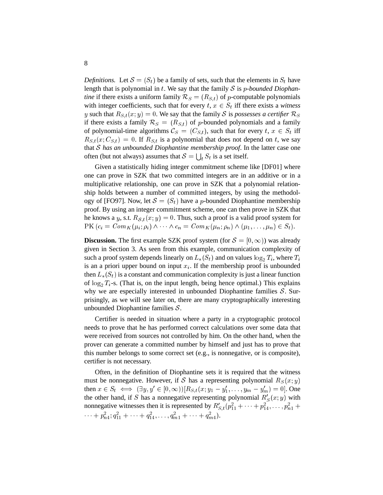*Definitions.* Let  $S = (S_t)$  be a family of sets, such that the elements in  $S_t$  have length that is polynomial in <sup>t</sup>. We say that the family <sup>S</sup> is <sup>p</sup>*-bounded Diophantine* if there exists a uniform family  $\mathcal{R}_S = (R_{S,t})$  of p-computable polynomials with integer coefficients, such that for every  $t, x \in S_t$  iff there exists a *witness* y such that  $R_{S,t}(x; y) = 0$ . We say that the family S is *possesses a certifier*  $\mathcal{R}_S$ if there exists a family  $\mathcal{R}_S = (R_{S,t})$  of p-bounded polynomials and a family of polynomial-time algorithms  $\mathcal{C}_S = (C_{S,t})$ , such that for every  $t, x \in S_t$  iff  $R_{S,t}(x; C_{S,t}) = 0$ . If  $R_{S,t}$  is a polynomial that does not depend on t, we say that <sup>S</sup> *has an unbounded Diophantine membership proof*. In the latter case one often (but not always) assumes that  $\mathcal{S} = \bigcup_t S_t$  is a set itself.

Given a statistically hiding integer commitment scheme like [DF01] where one can prove in SZK that two committed integers are in an additive or in a multiplicative relationship, one can prove in SZK that a polynomial relationship holds between a number of committed integers, by using the methodology of [FO97]. Now, let  $S = (S_t)$  have a p-bounded Diophantine membership proof. By using an integer commitment scheme, one can then prove in SZK that he knows a y, s.t.  $R_{\mathcal{S},t}(x; y) = 0$ . Thus, such a proof is a valid proof system for  $PK (c_i = Com_K(\mu_i; \rho_i) \wedge \cdots \wedge c_n = Com_K(\mu_n; \rho_n) \wedge (\mu_1, \ldots, \mu_n) \in S_t).$ 

**Discussion.** The first example SZK proof system (for  $S = [0, \infty)$ ) was already given in Section 3. As seen from this example, communication complexity of such a proof system depends linearly on  $L_*(S_t)$  and on values  $\log_2 T_i$ , where  $T_i$ is an a priori upper bound on input  $x_i$ . If the membership proof is unbounded then  $L_*(S_t)$  is a constant and communication complexity is just a linear function of  $\log_2 T_i$ -s. (That is, on the input length, being hence optimal.) This explains why we are especially interested in unbounded Diophantine families  $S$ . Surprisingly, as we will see later on, there are many cryptographically interesting unbounded Diophantine families <sup>S</sup>.

Certifier is needed in situation where a party in a cryptographic protocol needs to prove that he has performed correct calculations over some data that were received from sources not controlled by him. On the other hand, when the prover can generate a committed number by himself and just has to prove that this number belongs to some correct set (e.g., is nonnegative, or is composite), certifier is not necessary.

Often, in the definition of Diophantine sets it is required that the witness must be nonnegative. However, if S has a representing polynomial  $R_S(x; y)$ then  $x \in S_t \iff (\exists y, y' \in [0, \infty)) [R_{S,t} (x; y_1 - y'_1, \dots, y_m - y'_m) = 0].$  One the other hand, if S has a nonnegative representing polynomial  $R'_{S}(x; y)$  with nonnegative witnesses then it is represented by  $R'_{S,t}(p_{11}^2 + \cdots + p_{14}^2, \ldots, p_{n1}^2 + \cdots)$  $\cdots + p_{n4}^2$ ;  $q_{11}^2 + \cdots + q_{14}^2$ ,  $\ldots$ ,  $q_{m1}^2 + \cdots + q_{m4}^2$ ).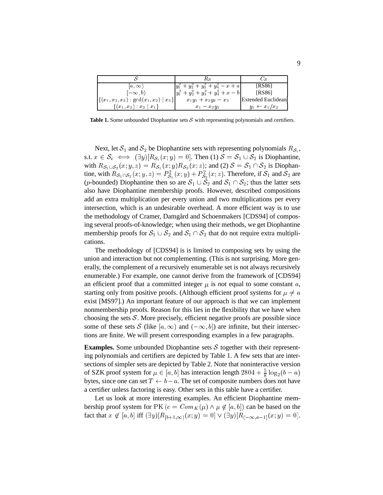|                                                                                                  | Кs                                        | Us.                       |
|--------------------------------------------------------------------------------------------------|-------------------------------------------|---------------------------|
| $a, \infty$                                                                                      | $ y_1^2 + y_2^2 + y_3^2 + y_4^2 - x + a $ | [RS86]                    |
| $(-\infty, b)$                                                                                   | $ y_1^2 + y_2^2 + y_3^2 + y_4^2 + x - b $ | <b>IRS861</b>             |
| $\left  \left\{ \left( x_{1},x_{2},x_{3}\right) : \gcd(x_{1},x_{2}) \mid x_{3} \right\} \right $ | $x_1y_1 + x_2y_2 - x_3$                   | <b>Extended Euclidean</b> |
| $\{(x_1,x_2): x_2   x_1\}$                                                                       | $x_1 - x_2y_1$                            | $y_1 \leftarrow x_1/x_2$  |

**Table 1.** Some unbounded Diophantine sets  $S$  with representing polynomials and certifiers.

Next, let  $S_1$  and  $S_2$  be Diophantine sets with representing polynomials  $R_{S_i}$ , s.t.  $x \in S_i \iff (\exists y)[R_{S_i}(x; y) = 0]$ . Then (1)  $S = S_1 \cup S_2$  is Diophantine, with  $R_{\mathcal{S}_1\cup\mathcal{S}_2}(x; y, z) = R_{\mathcal{S}_1}(x; y)R_{\mathcal{S}_2}(x; z)$ ; and (2)  $\mathcal{S} = \mathcal{S}_1 \cap \mathcal{S}_2$  is Diophantine, with  $R_{\mathcal{S}_1\cap\mathcal{S}_2}(x; y, z) = P_{\mathcal{S}_1}^2(x; y) + P_{\mathcal{S}_2}^2(x; z)$ . Therefore, if  $\mathcal{S}_1$  and  $\mathcal{S}_2$  are (p-bounded) Diophantine then so are  $S_1 \cup S_2$  and  $S_1 \cap S_2$ ; thus the latter sets also have Diophantine membership proofs. However, described compositions add an extra multiplication per every union and two multiplications per every intersection, which is an undesirable overhead. A more efficient way is to use the methodology of Cramer, Damgård and Schoenmakers [CDS94] of composing several proofs-of-knowledge; when using their methods, we get Diophantine membership proofs for  $S_1 \cup S_2$  and  $S_1 \cap S_2$  that do not require extra multiplications.

The methodology of [CDS94] is is limited to composing sets by using the union and interaction but not complementing. (This is not surprising. More generally, the complement of a recursively enumerable set is not always recursively enumerable.) For example, one cannot derive from the framework of [CDS94] an efficient proof that a committed integer  $\mu$  is *not* equal to some constant  $\alpha$ , starting only from positive proofs. (Although efficient proof systems for  $\mu \neq a$ exist [MS97].) An important feature of our approach is that we can implement nonmembership proofs. Reason for this lies in the flexibility that we have when choosing the sets  $S$ . More precisely, efficient negative proofs are possible since some of these sets S (like  $[a,\infty)$  and  $(-\infty, b]$ ) are infinite, but their intersections are finite. We will present corresponding examples in a few paragraphs.

**Examples.** Some unbounded Diophantine sets  $S$  together with their representing polynomials and certifiers are depicted by Table 1. A few sets that are intersections of simpler sets are depicted by Table 2. Note that noninteractive version of SZK proof system for  $\mu \in [a, b]$  has interaction length  $2804 + \frac{5}{8} \log_2(b - a)$ bytes, since one can set  $T \leftarrow b-a$ . The set of composite numbers does not have a certifier unless factoring is easy. Other sets in this table have a certifier.

Let us look at more interesting examples. An efficient Diophantine membership proof system for PK  $(c = Com_K(\mu) \wedge \mu \notin [a, b])$  can be based on the fact that  $x \notin [a, b]$  iff  $(\exists y)[R_{b+1,\infty}(x; y) = 0] \vee (\exists y)[R_{(-\infty,a-1]}(x; y) = 0].$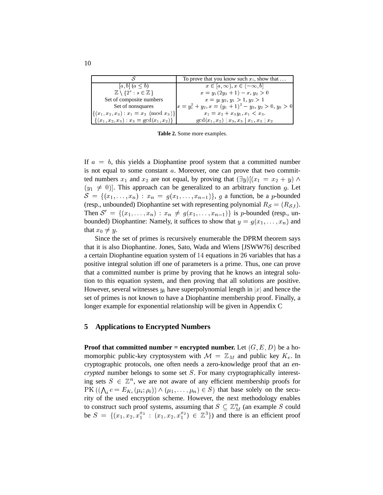|                                                                                       | To prove that you know such $x_i$ , show that               |
|---------------------------------------------------------------------------------------|-------------------------------------------------------------|
| $[a, b]$ $(a < b)$                                                                    | $x \in [a, \infty), x \in (-\infty, b]$                     |
| $\mathbb{Z}\setminus\{2^s : s \in \mathbb{Z}\}\$                                      | $x = y_1(2y_2 + 1) - x, y_2 > 0$                            |
| Set of composite numbers                                                              | $x = y_1y_2, y_1 > 1, y_2 > 1$                              |
| Set of nonsquares                                                                     | $ x = y_1^2 + y_2, x = (y_1 + 1)^2 - y_3, y_2 > 0, y_3 > 0$ |
| $\left  \left\{ \left( x_1, x_2, x_3 \right) : x_1 = x_2 \pmod{x_3} \right\} \right $ | $x_1 = x_2 + x_3y_1, x_1 < x_3.$                            |
| $\vert \{(x_1,x_2,x_3): x_3 = \gcd(x_1,x_2)\}\vert$                                   | $gcd(x_1, x_2)   x_3, x_3   x_1, x_3   x_2$                 |

**Table 2.** Some more examples.

If  $a = b$ , this yields a Diophantine proof system that a committed number is not equal to some constant <sup>a</sup>. Moreover, one can prove that two committed numbers  $x_1$  and  $x_2$  are not equal, by proving that  $(\exists y)[(x_1 = x_2 + y) \land$  $(y_1 \neq 0)$ . This approach can be generalized to an arbitrary function g. Let  $S = \{(x_1, \ldots, x_n) : x_n = g(x_1, \ldots, x_{n-1})\}, g$  a function, be a p-bounded (resp., unbounded) Diophantine set with representing polynomial  $R_{\mathcal{S}} = (R_{\mathcal{S},t})$ . Then  $S' = \{(x_1, \ldots, x_n) : x_n \neq g(x_1, \ldots, x_{n-1})\}$  is p-bounded (resp., unbounded) Diophantine: Namely, it suffices to show that  $y = g(x_1, \ldots, x_n)$  and that  $x_0 \neq y$ .

Since the set of primes is recursively enumerable the DPRM theorem says that it is also Diophantine. Jones, Sato, Wada and Wiens [JSWW76] described a certain Diophantine equation system of <sup>14</sup> equations in <sup>26</sup> variables that has a positive integral solution iff one of parameters is a prime. Thus, one can prove that a committed number is prime by proving that he knows an integral solution to this equation system, and then proving that all solutions are positive. However, several witnesses  $y_i$  have superpolynomial length in |x| and hence the set of primes is not known to have a Diophantine membership proof. Finally, a longer example for exponential relationship will be given in Appendix C

# **5 Applications to Encrypted Numbers**

**Proof that committed number = encrypted number.** Let  $(G, E, D)$  be a homomorphic public-key cryptosystem with  $\mathcal{M} = \mathbb{Z}_M$  and public key  $K_e$ . In cryptographic protocols, one often needs a zero-knowledge proof that an *encrypted* number belongs to some set <sup>S</sup>. For many cryptographically interesting sets  $S \in \mathbb{Z}^n$ , we are not aware of any efficient membership proofs for  $PK((\bigwedge_i c = E_{K_e}(\mu_i; \rho_i)) \wedge (\mu_1, \dots, \mu_n) \in S)$  that base solely on the security of the used encryption scheme. However, the next methodology enables to construct such proof systems, assuming that  $S \subseteq \mathbb{Z}_{M}^{n}$  (an example S could be  $S = \{(x_1, x_2, x_1^{x_3} : (x_1, x_2, x_1^{x_2}) \in \mathbb{Z}^3\})$  and there is an efficient proof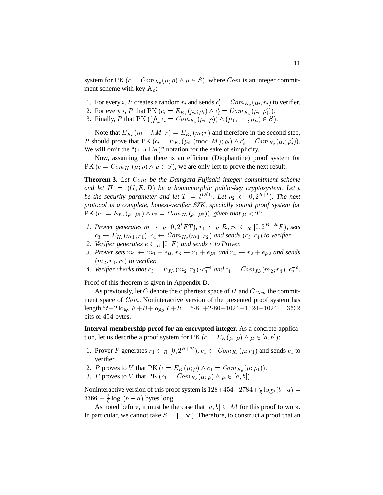system for PK ( $c = Com_{K_c}(\mu; \rho) \wedge \mu \in S$ ), where *Com* is an integer commitment scheme with key  $K_c$ :

- 1. For every *i*, P creates a random  $r_i$  and sends  $c'_i = Com_{K_c}(\mu_i; r_i)$  to verifier.
- 2. For every *i*, *P* that PK  $(c_i = E_{K_e}(\mu_i; \rho_i) \wedge c_i' = Com_{K_e}(\mu_i; \rho_i')).$
- 3. Finally, P that PK  $((\bigwedge_i c_i = Com_{K_c}(\mu_i; \rho)) \wedge (\mu_1, \ldots, \mu_n) \in S)$ .

Note that  $E_{K_e}(m + kM; r) = E_{K_e}(m; r)$  and therefore in the second step, P should prove that PK  $(c_i = E_{K_{\epsilon}}(\mu_i \pmod{M}; \rho_i) \wedge c'_i = Com_{K_{\epsilon}}(\mu_i; \rho'_i)).$ We will omit the " $(mod M)$ " notation for the sake of simplicity.

Now, assuming that there is an efficient (Diophantine) proof system for  $PK (c = Com_{K_c}(\mu; \rho) \land \mu \in S)$ , we are only left to prove the next result.

**Theorem 3.** *Let* Com *be the Damgard-Fujisaki integer commitment scheme ˚* and let  $\Pi = (G, E, D)$  be a homomorphic public-key cryptosystem. Let t *be the security parameter and let*  $T = t^{O(1)}$ *. Let*  $\rho_2 \in [0, 2^{B+t})$ *. The next protocol is a complete, honest-verifier SZK, specially sound proof system for*  $PK (c_1 = E_{K_e}(\mu; \rho_1) \wedge c_2 = Com_{K_e}(\mu; \rho_2))$ , given that  $\mu < T$ :

- *1. Prover generates*  $m_1 \leftarrow_R [0, 2^t FT)$ ,  $r_1 \leftarrow_R \mathcal{R}$ ,  $r_2 \leftarrow_R [0, 2^{B+2t} F)$ , sets  $c_3 \leftarrow E_{K_e}(m_1; r_1), c_4 \leftarrow Com_{K_e}(m_1; r_2)$  and sends  $(c_3, c_4)$  to verifier.
- *2. Verifier generates*  $e \leftarrow_R [0, F]$  *and sends*  $e$  *to Prover.*
- *3. Prover sets*  $m_2 \leftarrow m_1 + e\mu$ ,  $r_3 \leftarrow r_1 + e\rho_1$  and  $r_4 \leftarrow r_2 + e\rho_2$  and sends  $(m_2, r_3, r_4)$  *to verifier.*
- 4. Verifier checks that  $c_3 = E_{K_e}(m_2;r_3) \cdot c_1^{-e}$  and  $c_4 = Com_{K_e}(m_2;r_4) \cdot c_2^{-e}$ .

 $\overline{\phantom{a}}$ 

Proof of this theorem is given in Appendix D.

As previously, let C denote the ciphertext space of  $\Pi$  and  $C_{Com}$  the commitment space of Com. Noninteractive version of the presented proof system has length  $5t+2\log_2 F + B+\log_2 T + R = 5\cdot 80 + 2\cdot 80 + 1024 + 1024 + 1024 = 3632$ bits or <sup>454</sup> bytes.

**Interval membership proof for an encrypted integer.** As a concrete application, let us describe a proof system for PK  $(c = E_K(\mu; \rho) \land \mu \in [a, b])$ :

- 1. Prover P generates  $r_1 \leftarrow_R [0, 2^{B+2t}), c_1 \leftarrow Com_{K_c}(\mu; r_1)$  and sends  $c_1$  to verifier.
- 2. P proves to V that PK  $(c = E_K(\mu; \rho) \wedge c_1 = Com_{K_c}(\mu; \rho_1)).$
- 3. P proves to V that PK  $(c_1 = Com_{K_c}(\mu; \rho) \wedge \mu \in [a, b]).$

Noninteractive version of this proof system is  $128+454+2784+\frac{5}{8}\log_2(b-a)$  $3366 + \frac{5}{8} \log_2(b-a)$  bytes long.

As noted before, it must be the case that  $[a, b] \subset \mathcal{M}$  for this proof to work. In particular, we cannot take  $S = [0,\infty)$ . Therefore, to construct a proof that an

 $-$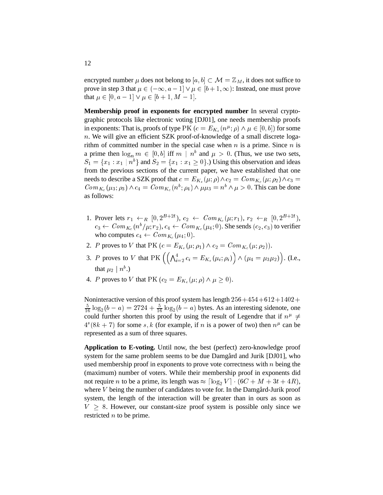encrypted number  $\mu$  does not belong to  $[a, b] \subset \mathcal{M} = \mathbb{Z}_M$ , it does not suffice to prove in step 3 that  $\mu \in (-\infty, a - 1] \vee \mu \in [b + 1, \infty)$ : Instead, one must prove that  $\mu \in [0, a - 1] \vee \mu \in [b + 1, M - 1].$ 

**Membership proof in exponents for encrypted number** In several cryptographic protocols like electronic voting [DJ01], one needs membership proofs in exponents: That is, proofs of type PK  $(c = E_{K_{\epsilon}}(n^{\mu}; \rho) \wedge \mu \in [0, b])$  for some n. We will give an efficient SZK proof-of-knowledge of a small discrete logarithm of committed number in the special case when  $n$  is a prime. Since  $n$  is a prime then  $\log_n m \in [0, b]$  iff  $m \mid n^b$  and  $\mu > 0$ . (Thus, we use two sets,  $S_1 = \{x_1 : x_1 \mid n^b\}$  and  $S_2 = \{x_1 : x_1 \geq 0\}$ .) Using this observation and ideas from the previous sections of the current paper, we have established that one needs to describe a SZK proof that  $c = E_{K_e}(\mu; \rho) \wedge c_2 = Com_{K_e}(\mu; \rho_2) \wedge c_3 =$  $Com_{K_c}(\mu_3;\rho_3) \wedge c_4 = Com_{K_c}(n^b;\rho_4) \wedge \mu_3 = n^b \wedge \mu > 0$ . This can be done as follows:

- 1. Prover lets  $r_1 \leftarrow_R [0, 2^{B+2t}), c_2 \leftarrow Com_{K_c}(\mu; r_1), r_2 \leftarrow_R [0, 2^{B+2t}),$  $c_3 \leftarrow \textit{Com}_{K_c}(n^b/\mu;r_2), c_4 \leftarrow \textit{Com}_{K_c}(\mu_4;0)$ . She sends  $(c_2,c_3)$  to verifier who computes  $c_4 \leftarrow Com_{K_c}(\mu_4; 0)$ .
- 2. P proves to V that PK  $(c = E_{K_e}(\mu; \rho_1) \wedge c_2 = Com_{K_e}(\mu; \rho_2)).$
- 3. P proves to V that PK  $\left(\bigwedge_{i=2}^4 c_i = E_{K_e}(\mu_i; \rho_i)\right)$  $\cdots$  ( $\cdots$  32)  $\big)$ . (I.e., that  $\mu_2 \mid n^b$ .)

 $\sim$ 

4. P proves to V that PK  $(c_2 = E_{K_e}(\mu; \rho) \wedge \mu \ge 0)$ .

Noninteractive version of this proof system has length  $256+454+612+1402+$  $\frac{5}{16}$  log<sub>2</sub>(b – a) = 2724 +  $\frac{5}{16}$  log<sub>2</sub>(b – a) bytes. As an interesting sidenote, one could further shorten this proof by using the result of Legendre that if  $n^{\mu} \neq$  $4<sup>s</sup>(8k + 7)$  for some s, k (for example, if n is a power of two) then  $n<sup>\mu</sup>$  can be represented as a sum of three squares.

**Application to E-voting.** Until now, the best (perfect) zero-knowledge proof system for the same problem seems to be due Damgård and Jurik [DJ01], who used membership proof in exponents to prove vote correctness with  $n$  being the (maximum) number of voters. While their membership proof in exponents did not require *n* to be a prime, its length was  $\approx \lceil \log_2 V \rceil \cdot (6C + M + 3t + 4R)$ , where  $V$  being the number of candidates to vote for. In the Damgård-Jurik proof system, the length of the interaction will be greater than in ours as soon as  $V \geq 8$ . However, our constant-size proof system is possible only since we restricted *n* to be prime.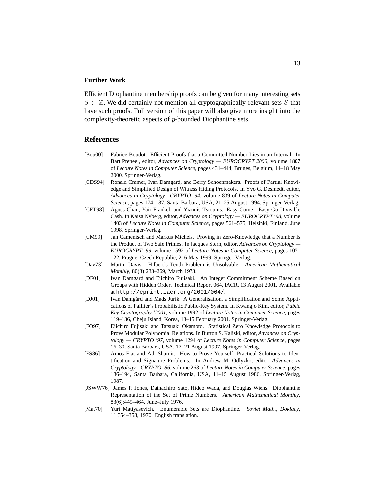#### **Further Work**

Efficient Diophantine membership proofs can be given for many interesting sets  $S \subset \mathbb{Z}$ . We did certainly not mention all cryptographically relevant sets S that have such proofs. Full version of this paper will also give more insight into the complexity-theoretic aspects of <sup>p</sup>-bounded Diophantine sets.

#### **References**

- [Bou00] Fabrice Boudot. Efficient Proofs that a Committed Number Lies in an Interval. In Bart Preneel, editor, *Advances on Cryptology — EUROCRYPT 2000*, volume 1807 of *Lecture Notes in Computer Science*, pages 431–444, Bruges, Belgium, 14–18 May 2000. Springer-Verlag.
- [CDS94] Ronald Cramer, Ivan Damgård, and Berry Schoenmakers. Proofs of Partial Knowledge and Simplified Design of Witness Hiding Protocols. In Yvo G. Desmedt, editor, *Advances in Cryptology—CRYPTO '94*, volume 839 of *Lecture Notes in Computer Science*, pages 174–187, Santa Barbara, USA, 21–25 August 1994. Springer-Verlag.
- [CFT98] Agnes Chan, Yair Frankel, and Yiannis Tsiounis. Easy Come Easy Go Divisible Cash. In Kaisa Nyberg, editor, *Advances on Cryptology — EUROCRYPT '98*, volume 1403 of *Lecture Notes in Computer Science*, pages 561–575, Helsinki, Finland, June 1998. Springer-Verlag.
- [CM99] Jan Camenisch and Markus Michels. Proving in Zero-Knowledge that a Number Is the Product of Two Safe Primes. In Jacques Stern, editor, *Advances on Cryptology — EUROCRYPT '99*, volume 1592 of *Lecture Notes in Computer Science*, pages 107– 122, Prague, Czech Republic, 2–6 May 1999. Springer-Verlag.
- [Dav73] Martin Davis. Hilbert's Tenth Problem is Unsolvable. *American Mathematical Monthly*, 80(3):233–269, March 1973.
- [DF01] Ivan Damgård and Eiichiro Fujisaki. An Integer Commitment Scheme Based on Groups with Hidden Order. Technical Report 064, IACR, 13 August 2001. Available at http://eprint.iacr.org/2001/064/.
- [DJ01] Ivan Damgård and Mads Jurik. A Generalisation, a Simplification and Some Applications of Paillier's Probabilistic Public-Key System. In Kwangjo Kim, editor, *Public Key Cryptography '2001*, volume 1992 of *Lecture Notes in Computer Science*, pages 119–136, Cheju Island, Korea, 13–15 February 2001. Springer-Verlag.
- [FO97] Eiichiro Fujisaki and Tatsuaki Okamoto. Statistical Zero Knowledge Protocols to Prove Modular Polynomial Relations. In Burton S. Kaliski, editor, *Advances on Cryptology — CRYPTO '97*, volume 1294 of *Lecture Notes in Computer Science*, pages 16–30, Santa Barbara, USA, 17–21 August 1997. Springer-Verlag.
- [FS86] Amos Fiat and Adi Shamir. How to Prove Yourself: Practical Solutions to Identification and Signature Problems. In Andrew M. Odlyzko, editor, *Advances in Cryptology—CRYPTO '86*, volume 263 of *Lecture Notes in Computer Science*, pages 186–194, Santa Barbara, California, USA, 11–15 August 1986. Springer-Verlag, 1987.
- [JSWW76] James P. Jones, Daihachiro Sato, Hideo Wada, and Douglas Wiens. Diophantine Representation of the Set of Prime Numbers. *American Mathematical Monthly*, 83(6):449–464, June–July 1976.
- [Mat70] Yuri Matiyasevich. Enumerable Sets are Diophantine. *Soviet Math., Doklady*, 11:354–358, 1970. English translation.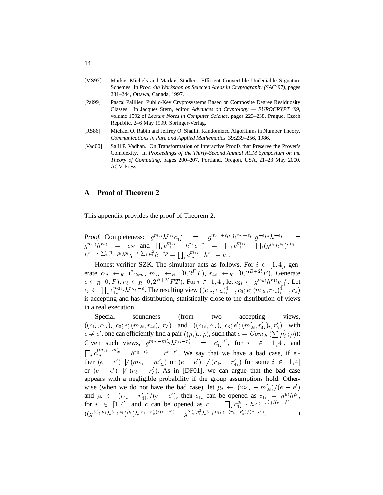- [MS97] Markus Michels and Markus Stadler. Efficient Convertible Undeniable Signature Schemes. In *Proc. 4th Workshop on Selected Areas in Cryptography (SAC'97)*, pages 231–244, Ottawa, Canada, 1997.
- [Pai99] Pascal Paillier. Public-Key Cryptosystems Based on Composite Degree Residuosity Classes. In Jacques Stern, editor, *Advances on Cryptology — EUROCRYPT '99*, volume 1592 of *Lecture Notes in Computer Science*, pages 223–238, Prague, Czech Republic, 2–6 May 1999. Springer-Verlag.
- [RS86] Michael O. Rabin and Jeffrey O. Shallit. Randomized Algorithms in Number Theory. *Communications in Pure and Applied Mathematics*, 39:239–256, 1986.
- [Vad00] Salil P. Vadhan. On Transformation of Interactive Proofs that Preserve the Prover's Complexity. In *Proceedings of the Thirty-Second Annual ACM Symposium on the Theory of Computing*, pages 200–207, Portland, Oregon, USA, 21–23 May 2000. ACM Press.

# **A Proof of Theorem 2**

This appendix provides the proof of Theorem 2.

*Proof.* Completeness:  $g^{m_{2i}}h^{r_{4i}}c_{1i}^{-e} = g^{m_{1i}+e\mu_i}h^{r_{2i}+e\rho_i}g^{-e\mu_i}h^{-e\rho_i} =$  $g^{m_{1i}}h^{r_{2i}} = c_{2i}$  and  $\prod_i c_{1i}^{m_{2i}} + h^{r_5}c^{-e} =$  $\prod_i c_{1i}^{m_{1i}}$  .  $\overline{\phantom{a}}$  $\int_{R}^{r_1} e^{2i\pi} \frac{1}{2} e^{2i\pi} \frac{1}{2} \frac{1}{2} \int_{R}^{R} e^{2i\pi} \frac{1}{2} e^{2i\pi} \frac{1}{2} e^{2i\pi} \frac{1}{2} \int_{R}^{R} e^{2i\pi} \frac{1}{2} e^{2i\pi} \frac{1}{2} \int_{R}^{R} e^{2i\pi} \frac{1}{2} \frac{1}{2} \int_{R}^{R} e^{2i\pi} \frac{1}{2} \frac{1}{2} \int_{R}^{R} e^{2i\pi} \frac{1}{2} \frac{1}{2} \int$  $\prod_i c_{1i}^{m_{1i}} \cdot h^{r_3} = c_3.$ 

Honest-verifier SZK. The simulator acts as follows. For  $i \in [1, 4]$ , generate  $c_{1i} \leftarrow_R \mathcal{C}_{Com}$ ,  $m_{2i} \leftarrow_R [0, 2^F T)$ ,  $r_{4i} \leftarrow_R [0, 2^{B+2t} F)$ . Generate  $e \leftarrow_R [0, F), r_5 \leftarrow_R [0, 2^{B+2t} FT)$ . For  $i \in [1, 4]$ , let  $c_{2i} \leftarrow g^{m_{2i}} h^{r_{4i}} c_{1i}^{-e}$ . Let  $c_3 \leftarrow \prod_i c_{1i}^{m_{2i}} \cdot h^{r_5} c^{-e}$ . The resulting view  $((c_{1i}, c_{2i})_{i=1}^4, c_3; e; (m_{2i}, r_{4i})_{i=1}^4, r_5)$ is accepting and has distribution, statistically close to the distribution of views in a real execution.

Special soundness (from two accepting views,  $((c_{1i}, c_{2i})_i, c_3; e; (m_{2i}, r_{4i})_i, r_5)$  and  $((c_{1i}, c_{2i})_i, c_3; e'; (m_{2i}', r_{4i}'), r_5')$  with  $e \neq e',$  one can efficiently find a pair  $((\mu_i)_i, \rho)$ , such that  $c = Com_K(\sum \mu_i^2; \rho)$ ): Given such views,  $g^{m_{2i}-m'_{2i}}h^{r_{4i}-r'_{4i}} = c_{1i}^{e-e'}$ , for  $i \in [1,4]$ , and  $\frac{1}{1}$   $(m_{2i}-m_{2i}^l)$  is the set of the set of the set of the set of the set of the set of the set of the set of the set of the set of the set of the set of the set of the set of the set of the set of the set of the s  $\imath$  $\int_{1i}^{(m_{2i}-m_{2i})}$   $\cdot$   $h^{r_5-r'_5}$  =  $c^{e-e'}$ . We say that we have a bad case, if either  $(e - e')$   $\not\mid (m_{2i} - m'_{2i})$  or  $(e - e')$   $\not\mid (r_{4i} - r'_{4i})$  for some  $i \in [1, 4]$ or  $(e - e')$   $\sqrt{(r_5 - r'_5)}$ . As in [DF01], we can argue that the bad case appears with a negligible probability if the group assumptions hold. Otherwise (when we do not have the bad case), let  $\mu_i \leftarrow (m_{2i} - m'_{2i})/(e - e')$ and  $\rho_i$   $\leftarrow$   $(r_{4i} - r'_{4i})/(e - e');$  then  $c_{1i}$  can be opened as  $c_{1i} = g^{\mu_i}h^{\rho_i}$ , for  $i \in [1, 4]$ , and c can be opened as  $c = \prod$  $_i$   $c_{1i}^r$  $h^{n}$  ·  $h^{(r_5-r_5)/(e-e)} =$  $\cdots$  $\Sigma$  i  $^{\mu_i}h^{\bar{\nu}}$  $\sum_i \rho_i \, \mathcal{h}^{ij} (r_5\!-\!r_5^{\prime})/(e\!-\!e^{\prime}) \, = q$  $\Sigma_i$   $\mu_i^2 h_i^2$  $\sum_i \mu_i \rho_i + (r_5 - r_5')/(e - e')$ .  $\Box$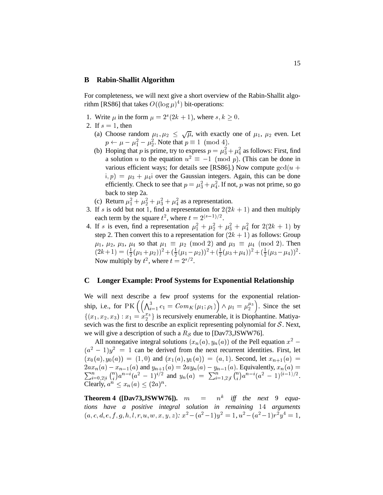# **B Rabin-Shallit Algorithm**

For completeness, we will next give a short overview of the Rabin-Shallit algorithm [RS86] that takes  $O((\log \mu)^4)$  bit-operations:

- 1. Write  $\mu$  in the form  $\mu = 2^s(2k + 1)$ , where  $s, k \ge 0$ .
- 2. If  $s = 1$ , then
	- (a) Choose random  $\mu_1, \mu_2 \leq \sqrt{\mu}$ , with exactly one of  $\mu_1, \mu_2$  even. Let  $p \leftarrow \mu - \mu_1^2 - \mu_2^2$ . Note that  $p \equiv 1 \pmod{4}$ .
	- (b) Hoping that p is prime, try to express  $p = \mu_3^2 + \mu_4^2$  as follows: First, find a solution u to the equation  $u^2 \equiv -1 \pmod{p}$ . (This can be done in various efficient ways; for details see [RS86].) Now compute  $gcd(u +$  $i, p$  =  $\mu_3 + \mu_4$  over the Gaussian integers. Again, this can be done efficiently. Check to see that  $p = \mu_3^2 + \mu_4^2$ . If not, p was not prime, so go back to step 2a.
	- (c) Return  $\mu_1^2 + \mu_2^2 + \mu_3^2 + \mu_4^2$  as a representation.
- 3. If s is odd but not 1, find a representation for  $2(2k + 1)$  and then multiply each term by the square  $t^2$ , where  $t = 2^{(s-1)/2}$ .
- 4. If s is even, find a representation  $\mu_1^2 + \mu_2^2 + \mu_3^2 + \mu_4^2$  for  $2(2k + 1)$  by step 2. Then convert this to a representation for  $(2k + 1)$  as follows: Group  $\mu_1, \mu_2, \mu_3, \mu_4$  so that  $\mu_1 \equiv \mu_2 \pmod{2}$  and  $\mu_3 \equiv \mu_4 \pmod{2}$ . Then  $(2k+1)=(\frac{1}{2}(\mu_1+\mu_2))^2+(\frac{1}{2}(\mu_1-\mu_2))^2+(\frac{1}{2}(\mu_3+\mu_4))^2+(\frac{1}{2}(\mu_3-\mu_4))^2.$ Now multiply by  $t^2$ , where  $t = 2^{s/2}$ .

#### **C Longer Example: Proof Systems for Exponential Relationship**

We will next describe a few proof systems for the exponential relationship, i.e., for PK  $((\bigwedge_{i=1}^{3} c_1 = Com_K(\mu_1; \rho_1)))$  $\sim$  $\wedge \mu_1 = \mu_2^{r^3}$  . Since the set  $\{(x_1, x_2, x_3) : x_1 = x_2^{x_3}\}\$ is recursively enumerable, it is Diophantine. Matiyasevich was the first to describe an explicit representing polynomial for <sup>S</sup>. Next, we will give a description of such a  $R<sub>S</sub>$  due to [Dav73,JSWW76].

All nonnegative integral solutions  $(x_n(a), y_n(a))$  of the Pell equation  $x^2$  $(a^{2} - 1)y^{2} = 1$  can be derived from the next recurrent identities. First, let  $(x_0(a), y_0(a)) = (1, 0)$  and  $(x_1(a), y_1(a)) = (a, 1)$ . Second, let  $x_{n+1}(a) =$  $2ax_n(a) - x_{n-1}(a)$  and  $y_{n+1}(a) = 2ay_n(a) - y_{n-1}(a)$ . Equivalently,  $x_n(a) =$ <br> $\sum_{n=1}^{n} {n \choose n} a^{n-1} a^{n-1} a^{n-1} a^{n-1} a^{n-1} a^{n-1} a^{n-1} a^{n-1} a^{n-1} a^{n-1} a^{n-1} a^{n-1} a^{n-1} a^{n-1} a^{n-1} a^{n-1} a^{n-1} a^{n-1} a^{n-1} a^{n-1} a^{n-1} a^{n-1} a$ i=0;2jii=0;2jii=0;2jii=0;2jii=0;2jii=0;2jii=0;2jii=0;2jii=0;2jii=0;2jii=0;2jii=0;2jii=0;2jii=0;2jii=0;2jii=0;2 <sup>n</sup>  $(a^2 - 1)^{i/2}$  and  $y_n(a) = \sum_{i=1,2}^n |a_i|^2$  <sup>n</sup>  $(a^{2} - 1)^{(i-1)/2}.$ Clearly,  $a^n \leq x_n(a) \leq (2a)^n$ .

**Theorem 4 ([Dav73,JSWW76]).**  $m =$ *iff the next* <sup>9</sup> *equations have a positive integral solution in remaining* <sup>14</sup> *arguments*  $(a, c, d, e, f, g, h, l, r, u, w, x, y, z): x^2 - (a^2 - 1)y^2 = 1, u^2 - (a^2 - 1)r^2y^4 = 1,$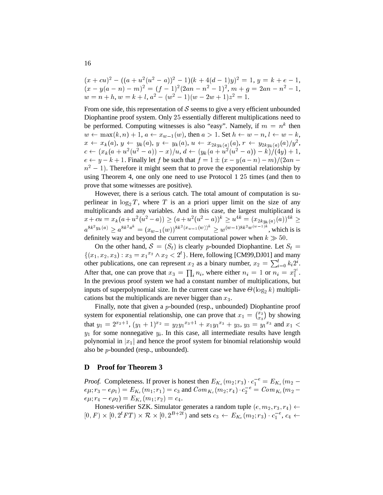$$
(x+cu)^2 - ((a+u^2(u^2-a))^2 - 1)(k + 4(d-1)y)^2 = 1, y = k + e - 1,
$$
  
\n
$$
(x-y(a-n)-m)^2 = (f-1)^2(2an - n^2 - 1)^2, m + g = 2an - n^2 - 1,
$$
  
\n
$$
w = n + h, w = k + l, a^2 - (w^2 - 1)(w - 2w + 1)z^2 = 1.
$$

From one side, this representation of  $S$  seems to give a very efficient unbounded Diophantine proof system. Only <sup>25</sup> essentially different multiplications need to be performed. Computing witnesses is also "easy". Namely, if  $m = n^k$  then  $w \leftarrow \max(k, n) + 1, a \leftarrow x_{w-1}(w)$ , then  $a > 1$ . Set  $h \leftarrow w - n, l \leftarrow w - k$ ,  $x \leftarrow x_k(a), \, y \leftarrow y_k(a), \, y \leftarrow y_k(a), \, u \leftarrow x_{2ky_k(a)}(a), \, r \leftarrow y_{2ky_k(a)}(a)/y^2,$  $c \leftarrow (x_k(a + u^2(u^2 - a)) - x)/u, d \leftarrow (y_k(a + u^2(u^2 - a)) - k)/(4y) + 1,$  $e \leftarrow y - k + 1$ . Finally let f be such that  $f = 1 \pm (x - y(a - n) - m)/(2an$  $n^2 - 1$ ). Therefore it might seem that to prove the exponential relationship by using Theorem 4, one only one need to use Protocol 1 <sup>25</sup> times (and then to prove that some witnesses are positive).

However, there is a serious catch. The total amount of computation is superlinear in  $\log_2 T$ , where T is an a priori upper limit on the size of any multiplicands and any variables. And in this case, the largest multiplicand is  $x + cu = x_k(a + u^-(u^--a)) \ge (a + u^-(u^--a))$   $\ge u^-\equiv (x_{2ky_k(a)}(a))$   $\ge$  $a^{8k^2}$ y<sub>k</sub>(a)  $\geq a^{8k^2a^{\kappa}} = (x_{w-1}(w))^{8k^2(x_{w-1}(w))^{\kappa}} \geq w^{(w-1)8k^2w(w-1)^{\kappa}}$ , which is is definitely way and beyond the current computational power when  $k \gg 50$ .

On the other hand,  $S = (S_t)$  is clearly p-bounded Diophantine. Let  $S_t$  $\{(x_1, x_2, x_3): x_3 = x_1^{x_2} \wedge x_2 < 2^t\}$ . Here, following [CM99,DJ01] and many other publications, one can represent  $x_2$  as a binary number,  $x_2 = \sum_{i=0}^{t} k_i 2^i$ . After that, one can prove that  $x_3 = \prod_i n_i$ , where either  $n_i = 1$  or  $n_i = x_1^{2^i}$ . In the previous proof system we had a constant number of multiplications, but inputs of superpolynomial size. In the current case we have  $\Theta(\log_2 k)$  multiplications but the multiplicands are never bigger than  $x_3$ .

Finally, note that given a <sup>p</sup>-bounded (resp., unbounded) Diophantine proof system for exponential relationship, one can prove that  $x_1 = \binom{x_2}{x_2}$  by showing that  $y_1 = 2^{x_2+1}$ ,  $(y_1 + 1)^{x_2} = y_2 y_1^{x_3+1} + x_1 y_1^{x_3} + y_3$ ,  $y_3 = y_1^{x_3}$  and  $x_1 <$  $y_1$  for some nonnegative  $y_i$ . In this case, all intermediate results have length polynomial in  $|x_1|$  and hence the proof system for binomial relationship would also be <sup>p</sup>-bounded (resp., unbounded).

### **D Proof for Theorem 3**

*Proof.* Completeness. If prover is honest then  $E_{K_e}(m_2; r_3) \cdot c_1^{-e} = E_{K_e}(m_2 - r_1)$  $e\mu; r_3 - e\rho_1) = E_{K_e}(m_1; r_1) = c_3$  and  $Com_{K_e}(m_2; r_4) \cdot c_2^{-e} = Com_{K_e}(m_2 - e)$  $e\mu; r_4 - e\rho_2) = E_{K_e}(m_1;r_2) = c_4.$ 

Honest-verifier SZK. Simulator generates a random tuple  $(e, m_2, r_3, r_4) \leftarrow$  $[0, F) \times [0, 2^t F T] \times \mathcal{R} \times [0, 2^{B+2t})$  and sets  $c_3 \leftarrow E_{K_e}(m_2; r_3) \cdot c_1^{-e}, c_4 \leftarrow$ 

16